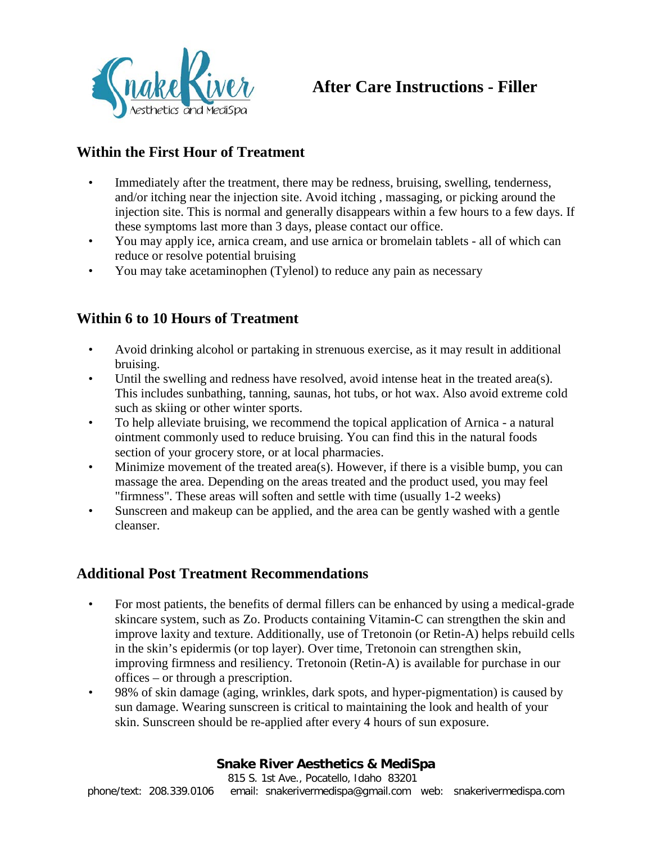

# **After Care Instructions - Filler**

# **Within the First Hour of Treatment**

- Immediately after the treatment, there may be redness, bruising, swelling, tenderness, and/or itching near the injection site. Avoid itching , massaging, or picking around the injection site. This is normal and generally disappears within a few hours to a few days. If these symptoms last more than 3 days, please contact our office.
- You may apply ice, arnica cream, and use arnica or bromelain tablets all of which can reduce or resolve potential bruising
- You may take acetaminophen (Tylenol) to reduce any pain as necessary

# **Within 6 to 10 Hours of Treatment**

- Avoid drinking alcohol or partaking in strenuous exercise, as it may result in additional bruising.
- Until the swelling and redness have resolved, avoid intense heat in the treated area(s). This includes sunbathing, tanning, saunas, hot tubs, or hot wax. Also avoid extreme cold such as skiing or other winter sports.
- To help alleviate bruising, we recommend the topical application of Arnica a natural ointment commonly used to reduce bruising. You can find this in the natural foods section of your grocery store, or at local pharmacies.
- Minimize movement of the treated area(s). However, if there is a visible bump, you can massage the area. Depending on the areas treated and the product used, you may feel "firmness". These areas will soften and settle with time (usually 1-2 weeks)
- Sunscreen and makeup can be applied, and the area can be gently washed with a gentle cleanser.

### **Additional Post Treatment Recommendations**

- For most patients, the benefits of dermal fillers can be enhanced by using a medical-grade skincare system, such as Zo. Products containing Vitamin-C can strengthen the skin and improve laxity and texture. Additionally, use of Tretonoin (or Retin-A) helps rebuild cells in the skin's epidermis (or top layer). Over time, Tretonoin can strengthen skin, improving firmness and resiliency. Tretonoin (Retin-A) is available for purchase in our offices – or through a prescription.
- 98% of skin damage (aging, wrinkles, dark spots, and hyper-pigmentation) is caused by sun damage. Wearing sunscreen is critical to maintaining the look and health of your skin. Sunscreen should be re-applied after every 4 hours of sun exposure.

#### **Snake River Aesthetics & MediSpa**

815 S. 1st Ave., Pocatello, Idaho 83201 phone/text: 208.339.0106 email: snakerivermedispa@gmail.com web: snakerivermedispa.com